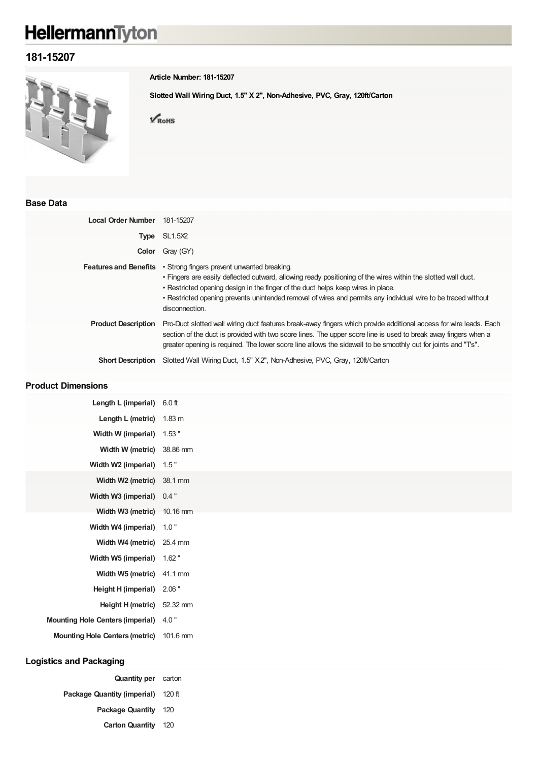# HellermannTyton

## **181-15207**



**Article Number: 181-15207**

**Slotted Wall Wiring Duct, 1.5" X 2", Non-Adhesive, PVC, Gray, 120ft/Carton**

 $\sqrt{\text{RohS}}$ 

#### **Base Data**

| Local Order Number           | 181-15207                                                                                                                                                                                                                                                                                                                                                                            |
|------------------------------|--------------------------------------------------------------------------------------------------------------------------------------------------------------------------------------------------------------------------------------------------------------------------------------------------------------------------------------------------------------------------------------|
| Type                         | SL1.5X2                                                                                                                                                                                                                                                                                                                                                                              |
| Color                        | Gray (GY)                                                                                                                                                                                                                                                                                                                                                                            |
| <b>Features and Benefits</b> | • Strong fingers prevent unwanted breaking.<br>• Fingers are easily deflected outward, allowing ready positioning of the wires within the slotted wall duct.<br>• Restricted opening design in the finger of the duct helps keep wires in place.<br>• Restricted opening prevents unintended removal of wires and permits any individual wire to be traced without<br>disconnection. |
| <b>Product Description</b>   | Pro-Duct slotted wall wiring duct features break-away fingers which provide additional access for wire leads. Each<br>section of the duct is provided with two score lines. The upper score line is used to break away fingers when a<br>greater opening is required. The lower score line allows the sidewall to be smoothly cut for joints and "Ts".                               |
| <b>Short Description</b>     | Slotted Wall Wiring Duct, 1.5" X2", Non-Adhesive, PVC, Gray, 120ft/Carton                                                                                                                                                                                                                                                                                                            |

#### **Product Dimensions**

| Length L (imperial) 6.0 ft            |          |
|---------------------------------------|----------|
| Length L (metric) $1.83 \text{ m}$    |          |
| Width W (imperial) 1.53"              |          |
| Width W (metric) 38.86 mm             |          |
| Width W2 (imperial)                   | 1.5"     |
| Width W2 (metric) 38.1 mm             |          |
| Width W3 (imperial) 0.4"              |          |
| Width W3 (metric) 10.16 mm            |          |
| Width W4 (imperial)                   | 1.0"     |
| Width W4 (metric) 25.4 mm             |          |
| Width W5 (imperial) 1.62"             |          |
| Width W5 (metric) 41.1 mm             |          |
| Height H (imperial)                   | 2.06"    |
| Height H (metric) 52.32 mm            |          |
| Mounting Hole Centers (imperial) 4.0" |          |
| <b>Mounting Hole Centers (metric)</b> | 101.6 mm |
|                                       |          |
| <b>Logistics and Packaging</b>        |          |

| <b>Quantity per</b> carton         |  |
|------------------------------------|--|
| Package Quantity (imperial) 120 ft |  |
| Package Quantity 120               |  |
| <b>Carton Quantity</b> 120         |  |